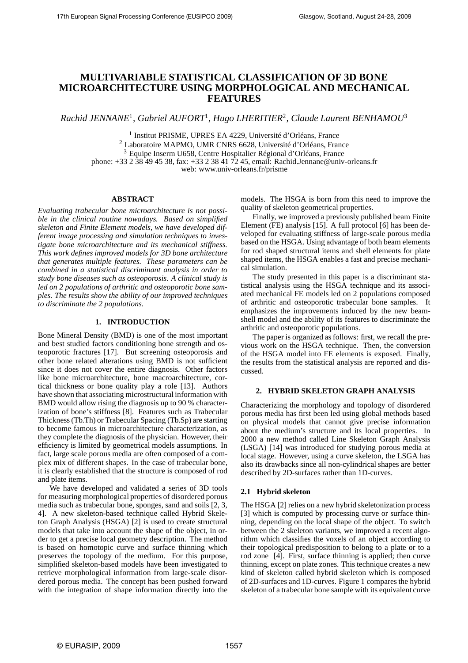# **MULTIVARIABLE STATISTICAL CLASSIFICATION OF 3D BONE MICROARCHITECTURE USING MORPHOLOGICAL AND MECHANICAL FEATURES**

*Rachid JENNANE*<sup>1</sup> *, Gabriel AUFORT*<sup>1</sup> *, Hugo LHERITIER*<sup>2</sup> *, Claude Laurent BENHAMOU*<sup>3</sup>

1 Institut PRISME, UPRES EA 4229, Université d'Orléans, France <sup>2</sup> Laboratoire MAPMO, UMR CNRS 6628, Université d'Orléans, France <sup>3</sup> Equipe Inserm U658, Centre Hospitalier Régional d'Orléans, France phone: +33 2 38 49 45 38, fax: +33 2 38 41 72 45, email: Rachid.Jennane@univ-orleans.fr web: www.univ-orleans.fr/prisme

## **ABSTRACT**

*Evaluating trabecular bone microarchitecture is not possible in the clinical routine nowadays. Based on simplified skeleton and Finite Element models, we have developed different image processing and simulation techniques to investigate bone microarchitecture and its mechanical stiffness. This work defines improved models for 3D bone architecture that generates multiple features. These parameters can be combined in a statistical discriminant analysis in order to study bone diseases such as osteoporosis. A clinical study is led on 2 populations of arthritic and osteoporotic bone samples. The results show the ability of our improved techniques to discriminate the 2 populations.*

## **1. INTRODUCTION**

Bone Mineral Density (BMD) is one of the most important and best studied factors conditioning bone strength and osteoporotic fractures [17]. But screening osteoporosis and other bone related alterations using BMD is not sufficient since it does not cover the entire diagnosis. Other factors like bone microarchitecture, bone macroarchitecture, cortical thickness or bone quality play a role [13]. Authors have shown that associating microstructural information with BMD would allow rising the diagnosis up to 90 % characterization of bone's stiffness [8]. Features such as Trabecular Thickness (Tb.Th) or Trabecular Spacing (Tb.Sp) are starting to become famous in microarchitecture characterization, as they complete the diagnosis of the physician. However, their efficiency is limited by geometrical models assumptions. In fact, large scale porous media are often composed of a complex mix of different shapes. In the case of trabecular bone, it is clearly established that the structure is composed of rod and plate items.

We have developed and validated a series of 3D tools for measuring morphological properties of disordered porous media such as trabecular bone, sponges, sand and soils [2, 3, 4]. A new skeleton-based technique called Hybrid Skeleton Graph Analysis (HSGA) [2] is used to create structural models that take into account the shape of the object, in order to get a precise local geometry description. The method is based on homotopic curve and surface thinning which preserves the topology of the medium. For this purpose, simplified skeleton-based models have been investigated to retrieve morphological information from large-scale disordered porous media. The concept has been pushed forward with the integration of shape information directly into the models. The HSGA is born from this need to improve the quality of skeleton geometrical properties.

Finally, we improved a previously published beam Finite Element (FE) analysis [15]. A full protocol [6] has been developed for evaluating stiffness of large-scale porous media based on the HSGA. Using advantage of both beam elements for rod shaped structural items and shell elements for plate shaped items, the HSGA enables a fast and precise mechanical simulation.

The study presented in this paper is a discriminant statistical analysis using the HSGA technique and its associated mechanical FE models led on 2 populations composed of arthritic and osteoporotic trabecular bone samples. It emphasizes the improvements induced by the new beamshell model and the ability of its features to discriminate the arthritic and osteoporotic populations.

The paper is organized as follows: first, we recall the previous work on the HSGA technique. Then, the conversion of the HSGA model into FE elements is exposed. Finally, the results from the statistical analysis are reported and discussed.

## **2. HYBRID SKELETON GRAPH ANALYSIS**

Characterizing the morphology and topology of disordered porous media has first been led using global methods based on physical models that cannot give precise information about the medium's structure and its local properties. In 2000 a new method called Line Skeleton Graph Analysis (LSGA) [14] was introduced for studying porous media at local stage. However, using a curve skeleton, the LSGA has also its drawbacks since all non-cylindrical shapes are better described by 2D-surfaces rather than 1D-curves.

## **2.1 Hybrid skeleton**

The HSGA [2] relies on a new hybrid skeletonization process [3] which is computed by processing curve or surface thinning, depending on the local shape of the object. To switch between the 2 skeleton variants, we improved a recent algorithm which classifies the voxels of an object according to their topological predisposition to belong to a plate or to a rod zone [4]. First, surface thinning is applied; then curve thinning, except on plate zones. This technique creates a new kind of skeleton called hybrid skeleton which is composed of 2D-surfaces and 1D-curves. Figure 1 compares the hybrid skeleton of a trabecular bone sample with its equivalent curve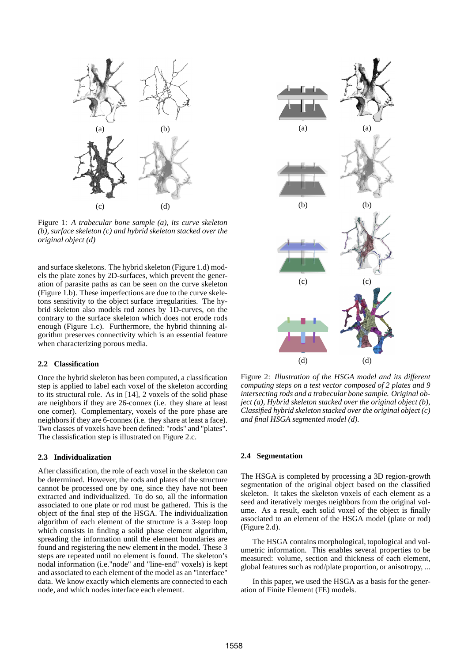

Figure 1: *A trabecular bone sample (a), its curve skeleton (b), surface skeleton (c) and hybrid skeleton stacked over the original object (d)*

and surface skeletons. The hybrid skeleton (Figure 1.d) models the plate zones by 2D-surfaces, which prevent the generation of parasite paths as can be seen on the curve skeleton (Figure 1.b). These imperfections are due to the curve skeletons sensitivity to the object surface irregularities. The hybrid skeleton also models rod zones by 1D-curves, on the contrary to the surface skeleton which does not erode rods enough (Figure 1.c). Furthermore, the hybrid thinning algorithm preserves connectivity which is an essential feature when characterizing porous media.

#### **2.2 Classification**

Once the hybrid skeleton has been computed, a classification step is applied to label each voxel of the skeleton according to its structural role. As in [14], 2 voxels of the solid phase are neighbors if they are 26-connex (i.e. they share at least one corner). Complementary, voxels of the pore phase are neighbors if they are 6-connex (i.e. they share at least a face). Two classes of voxels have been defined: "rods" and "plates". The classisfication step is illustrated on Figure 2.c.

#### **2.3 Individualization**

After classification, the role of each voxel in the skeleton can be determined. However, the rods and plates of the structure cannot be processed one by one, since they have not been extracted and individualized. To do so, all the information associated to one plate or rod must be gathered. This is the object of the final step of the HSGA. The individualization algorithm of each element of the structure is a 3-step loop which consists in finding a solid phase element algorithm, spreading the information until the element boundaries are found and registering the new element in the model. These 3 steps are repeated until no element is found. The skeleton's nodal information (i.e."node" and "line-end" voxels) is kept and associated to each element of the model as an "interface" data. We know exactly which elements are connected to each node, and which nodes interface each element.



Figure 2: *Illustration of the HSGA model and its different computing steps on a test vector composed of 2 plates and 9 intersecting rods and a trabecular bone sample. Original object (a), Hybrid skeleton stacked over the original object (b), Classified hybrid skeleton stacked over the original object (c) and final HSGA segmented model (d).*

#### **2.4 Segmentation**

The HSGA is completed by processing a 3D region-growth segmentation of the original object based on the classified skeleton. It takes the skeleton voxels of each element as a seed and iteratively merges neighbors from the original volume. As a result, each solid voxel of the object is finally associated to an element of the HSGA model (plate or rod) (Figure 2.d).

The HSGA contains morphological, topological and volumetric information. This enables several properties to be measured: volume, section and thickness of each element, global features such as rod/plate proportion, or anisotropy, ...

In this paper, we used the HSGA as a basis for the generation of Finite Element (FE) models.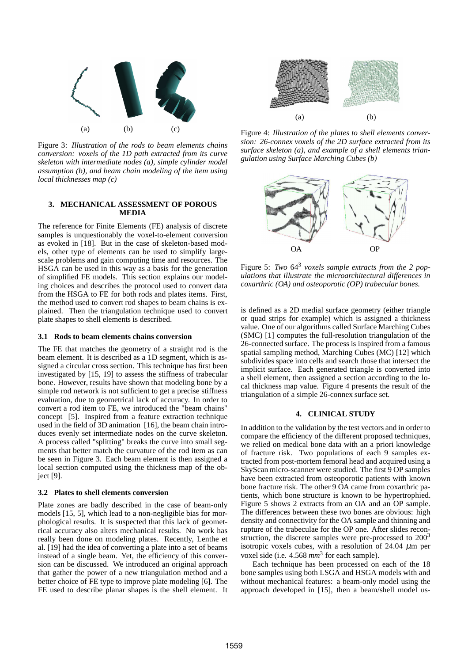

Figure 3: *Illustration of the rods to beam elements chains conversion: voxels of the 1D path extracted from its curve skeleton with intermediate nodes (a), simple cylinder model assumption (b), and beam chain modeling of the item using local thicknesses map (c)*

# **3. MECHANICAL ASSESSMENT OF POROUS MEDIA**

The reference for Finite Elements (FE) analysis of discrete samples is unquestionably the voxel-to-element conversion as evoked in [18]. But in the case of skeleton-based models, other type of elements can be used to simplify largescale problems and gain computing time and resources. The HSGA can be used in this way as a basis for the generation of simplified FE models. This section explains our modeling choices and describes the protocol used to convert data from the HSGA to FE for both rods and plates items. First, the method used to convert rod shapes to beam chains is explained. Then the triangulation technique used to convert plate shapes to shell elements is described.

## **3.1 Rods to beam elements chains conversion**

The FE that matches the geometry of a straight rod is the beam element. It is described as a 1D segment, which is assigned a circular cross section. This technique has first been investigated by [15, 19] to assess the stiffness of trabecular bone. However, results have shown that modeling bone by a simple rod network is not sufficient to get a precise stiffness evaluation, due to geometrical lack of accuracy. In order to convert a rod item to FE, we introduced the "beam chains" concept [5]. Inspired from a feature extraction technique used in the field of 3D animation [16], the beam chain introduces evenly set intermediate nodes on the curve skeleton. A process called "splitting" breaks the curve into small segments that better match the curvature of the rod item as can be seen in Figure 3. Each beam element is then assigned a local section computed using the thickness map of the object [9].

#### **3.2 Plates to shell elements conversion**

Plate zones are badly described in the case of beam-only models [15, 5], which lead to a non-negligible bias for morphological results. It is suspected that this lack of geometrical accuracy also alters mechanical results. No work has really been done on modeling plates. Recently, Lenthe et al. [19] had the idea of converting a plate into a set of beams instead of a single beam. Yet, the efficiency of this conversion can be discussed. We introduced an original approach that gather the power of a new triangulation method and a better choice of FE type to improve plate modeling [6]. The FE used to describe planar shapes is the shell element. It



Figure 4: *Illustration of the plates to shell elements conversion: 26-connex voxels of the 2D surface extracted from its surface skeleton (a), and example of a shell elements triangulation using Surface Marching Cubes (b)*



Figure 5: *Two* 64<sup>3</sup> *voxels sample extracts from the 2 populations that illustrate the microarchitectural differences in coxarthric (OA) and osteoporotic (OP) trabecular bones.*

is defined as a 2D medial surface geometry (either triangle or quad strips for example) which is assigned a thickness value. One of our algorithms called Surface Marching Cubes (SMC) [1] computes the full-resolution triangulation of the 26-connected surface. The process is inspired from a famous spatial sampling method, Marching Cubes (MC) [12] which subdivides space into cells and search those that intersect the implicit surface. Each generated triangle is converted into a shell element, then assigned a section according to the local thickness map value. Figure 4 presents the result of the triangulation of a simple 26-connex surface set.

# **4. CLINICAL STUDY**

In addition to the validation by the test vectors and in order to compare the efficiency of the different proposed techniques, we relied on medical bone data with an a priori knowledge of fracture risk. Two populations of each 9 samples extracted from post-mortem femoral head and acquired using a SkyScan micro-scanner were studied. The first 9 OP samples have been extracted from osteoporotic patients with known bone fracture risk. The other 9 OA came from coxarthric patients, which bone structure is known to be hypertrophied. Figure 5 shows 2 extracts from an OA and an OP sample. The differences between these two bones are obvious: high density and connectivity for the OA sample and thinning and rupture of the trabeculae for the OP one. After slides reconstruction, the discrete samples were pre-processed to 200<sup>3</sup> isotropic voxels cubes, with a resolution of 24.04  $\mu$ m per voxel side (i.e. 4.568 mm<sup>3</sup> for each sample).

Each technique has been processed on each of the 18 bone samples using both LSGA and HSGA models with and without mechanical features: a beam-only model using the approach developed in [15], then a beam/shell model us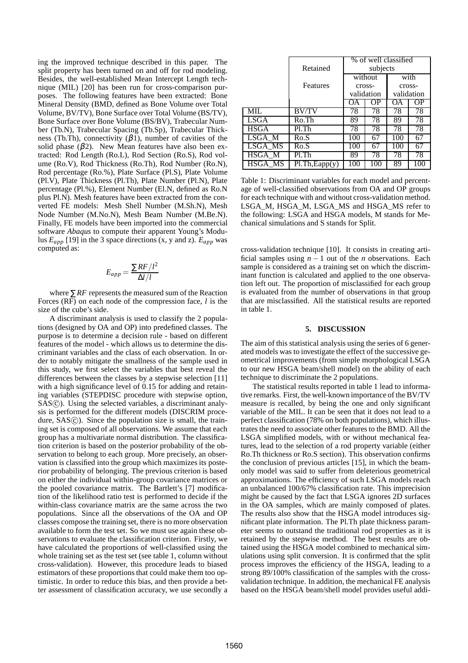ing the improved technique described in this paper. The split property has been turned on and off for rod modeling. Besides, the well-established Mean Intercept Length technique (MIL) [20] has been run for cross-comparison purposes. The following features have been extracted: Bone Mineral Density (BMD, defined as Bone Volume over Total Volume, BV/TV), Bone Surface over Total Volume (BS/TV), Bone Surface over Bone Volume (BS/BV), Trabecular Number (Tb.N), Trabecular Spacing (Tb.Sp), Trabecular Thickness (Tb.Th), connectivity  $(\beta 1)$ , number of cavities of the solid phase  $(\beta 2)$ . New Mean features have also been extracted: Rod Length (Ro.L), Rod Section (Ro.S), Rod volume (Ro.V), Rod Thickness (Ro.Th), Rod Number (Ro.N), Rod percentage (Ro.%), Plate Surface (Pl.S), Plate Volume (Pl.V), Plate Thickness (Pl.Th), Plate Number (Pl.N), Plate percentage (Pl.%), Element Number (El.N, defined as Ro.N plus Pl.N). Mesh features have been extracted from the converted FE models: Mesh Shell Number (M.Sh.N), Mesh Node Number (M.No.N), Mesh Beam Number (M.Be.N). Finally, FE models have been imported into the commercial software *Abaqus* to compute their apparent Young's Modulus *Eapp* [19] in the 3 space directions (x, y and z). *Eapp* was computed as:

$$
E_{app} = \frac{\sum RF/l^2}{\Delta l/l}
$$

where ∑*RF* represents the measured sum of the Reaction Forces (RF) on each node of the compression face, *l* is the size of the cube's side.

A discriminant analysis is used to classify the 2 populations (designed by OA and OP) into predefined classes. The purpose is to determine a decision rule - based on different features of the model - which allows us to determine the discriminant variables and the class of each observation. In order to notably mitigate the smallness of the sample used in this study, we first select the variables that best reveal the differences between the classes by a stepwise selection [11] with a high significance level of 0.15 for adding and retaining variables (STEPDISC procedure with stepwise option, SAS(c)). Using the selected variables, a discriminant analysis is performed for the different models (DISCRIM procedure,  $SAS(\hat{c})$ . Since the population size is small, the training set is composed of all observations. We assume that each group has a multivariate normal distribution. The classification criterion is based on the posterior probability of the observation to belong to each group. More precisely, an observation is classified into the group which maximizes its posterior probability of belonging. The previous criterion is based on either the individual within-group covariance matrices or the pooled covariance matrix. The Bartlett's [7] modification of the likelihood ratio test is performed to decide if the within-class covariance matrix are the same across the two populations. Since all the observations of the OA and OP classes compose the training set, there is no more observation available to form the test set. So we must use again these observations to evaluate the classification criterion. Firstly, we have calculated the proportions of well-classified using the whole training set as the test set (see table 1, column without cross-validation). However, this procedure leads to biased estimators of these proportions that could make them too optimistic. In order to reduce this bias, and then provide a better assessment of classification accuracy, we use secondly a

|                |                              | % of well classified |     |            |     |
|----------------|------------------------------|----------------------|-----|------------|-----|
|                | Retained                     | subjects             |     |            |     |
|                |                              | without              |     | with       |     |
|                | Features                     | cross-               |     | cross-     |     |
|                |                              | validation           |     | validation |     |
|                |                              | OА                   | OΡ  | ОA         | OΡ  |
| MIL            | <b>BV/TV</b>                 | 78                   | 78  | 78         | 78  |
| LSGA           | Ro.Th                        | 89                   | 78  | 89         | 78  |
| <b>HSGA</b>    | Pl.Th                        | 78                   | 78  | 78         | 78  |
| LSGA_M         | Ro.S                         | 100                  | 67  | 100        | 67  |
| LSGA MS        | Ro.S                         | 100                  | 67  | 100        | 67  |
| HSGA M         | $Pl$ .Th                     | 89                   | 78  | 78         | 78  |
| <b>HSGA_MS</b> | $\overline{P1.Th}$ , Eapp(y) | 100                  | 100 | 89         | 100 |

Table 1: Discriminant variables for each model and percentage of well-classified observations from OA and OP groups for each technique with and without cross-validation method. LSGA\_M, HSGA\_M, LSGA\_MS and HSGA\_MS refer to the following: LSGA and HSGA models, M stands for Mechanical simulations and S stands for Split.

cross-validation technique [10]. It consists in creating artificial samples using  $n - 1$  out of the *n* observations. Each sample is considered as a training set on which the discriminant function is calculated and applied to the one observation left out. The proportion of misclassified for each group is evaluated from the number of observations in that group that are misclassified. All the statistical results are reported in table 1.

#### **5. DISCUSSION**

The aim of this statistical analysis using the series of 6 generated models was to investigate the effect of the successive geometrical improvements (from simple morphological LSGA to our new HSGA beam/shell model) on the ability of each technique to discriminate the 2 populations.

The statistical results reported in table 1 lead to informative remarks. First, the well-known importance of the BV/TV measure is recalled, by being the one and only significant variable of the MIL. It can be seen that it does not lead to a perfect classification (78% on both populations), which illustrates the need to associate other features to the BMD. All the LSGA simplified models, with or without mechanical features, lead to the selection of a rod property variable (either Ro.Th thickness or Ro.S section). This observation confirms the conclusion of previous articles [15], in which the beamonly model was said to suffer from deleterious geometrical approximations. The efficiency of such LSGA models reach an unbalanced 100/67% classification rate. This imprecision might be caused by the fact that LSGA ignores 2D surfaces in the OA samples, which are mainly composed of plates. The results also show that the HSGA model introduces significant plate information. The Pl.Th plate thickness parameter seems to outstand the traditional rod properties as it is retained by the stepwise method. The best results are obtained using the HSGA model combined to mechanical simulations using split conversion. It is confirmed that the split process improves the efficiency of the HSGA, leading to a strong 89/100% classification of the samples with the crossvalidation technique. In addition, the mechanical FE analysis based on the HSGA beam/shell model provides useful addi-